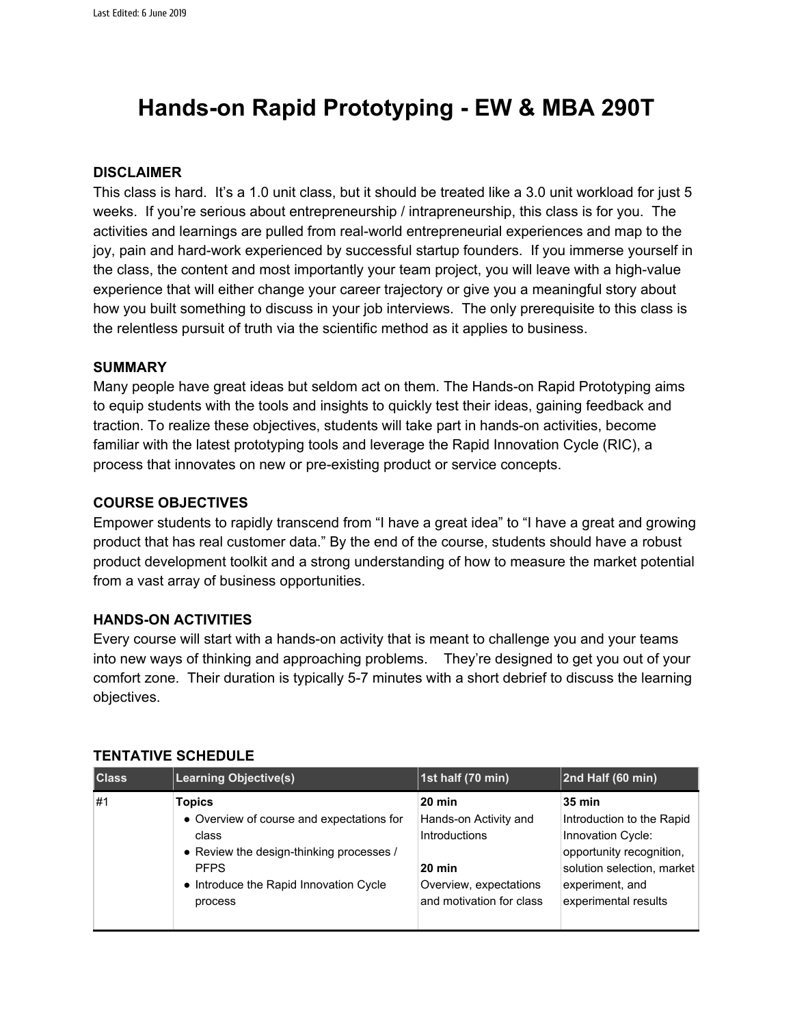# **Hands-on Rapid Prototyping - EW & MBA 290T**

#### **DISCLAIMER**

This class is hard. It's a 1.0 unit class, but it should be treated like a 3.0 unit workload for just 5 weeks. If you're serious about entrepreneurship / intrapreneurship, this class is for you. The activities and learnings are pulled from real-world entrepreneurial experiences and map to the joy, pain and hard-work experienced by successful startup founders. If you immerse yourself in the class, the content and most importantly your team project, you will leave with a high-value experience that will either change your career trajectory or give you a meaningful story about how you built something to discuss in your job interviews. The only prerequisite to this class is the relentless pursuit of truth via the scientific method as it applies to business.

#### **SUMMARY**

Many people have great ideas but seldom act on them. The Hands-on Rapid Prototyping aims to equip students with the tools and insights to quickly test their ideas, gaining feedback and traction. To realize these objectives, students will take part in hands-on activities, become familiar with the latest prototyping tools and leverage the Rapid Innovation Cycle (RIC), a process that innovates on new or pre-existing product or service concepts.

#### **COURSE OBJECTIVES**

Empower students to rapidly transcend from "I have a great idea" to "I have a great and growing product that has real customer data." By the end of the course, students should have a robust product development toolkit and a strong understanding of how to measure the market potential from a vast array of business opportunities.

#### **HANDS-ON ACTIVITIES**

Every course will start with a hands-on activity that is meant to challenge you and your teams into new ways of thinking and approaching problems. They're designed to get you out of your comfort zone. Their duration is typically 5-7 minutes with a short debrief to discuss the learning objectives.

| <b>Class</b> | <b>Learning Objective(s)</b>                                                                                                                                                        | $\vert$ 1st half (70 min)                                                                                            | 2nd Half (60 min)                                                                                                                                                    |
|--------------|-------------------------------------------------------------------------------------------------------------------------------------------------------------------------------------|----------------------------------------------------------------------------------------------------------------------|----------------------------------------------------------------------------------------------------------------------------------------------------------------------|
| #1           | <b>Topics</b><br>• Overview of course and expectations for<br>class<br>• Review the design-thinking processes /<br><b>PFPS</b><br>• Introduce the Rapid Innovation Cycle<br>process | $20$ min<br>Hands-on Activity and<br>Introductions<br>$20$ min<br>Overview, expectations<br>and motivation for class | <b>35 min</b><br>Introduction to the Rapid<br>Innovation Cycle:<br>opportunity recognition,<br>solution selection, market<br>experiment, and<br>experimental results |

#### **TENTATIVE SCHEDULE**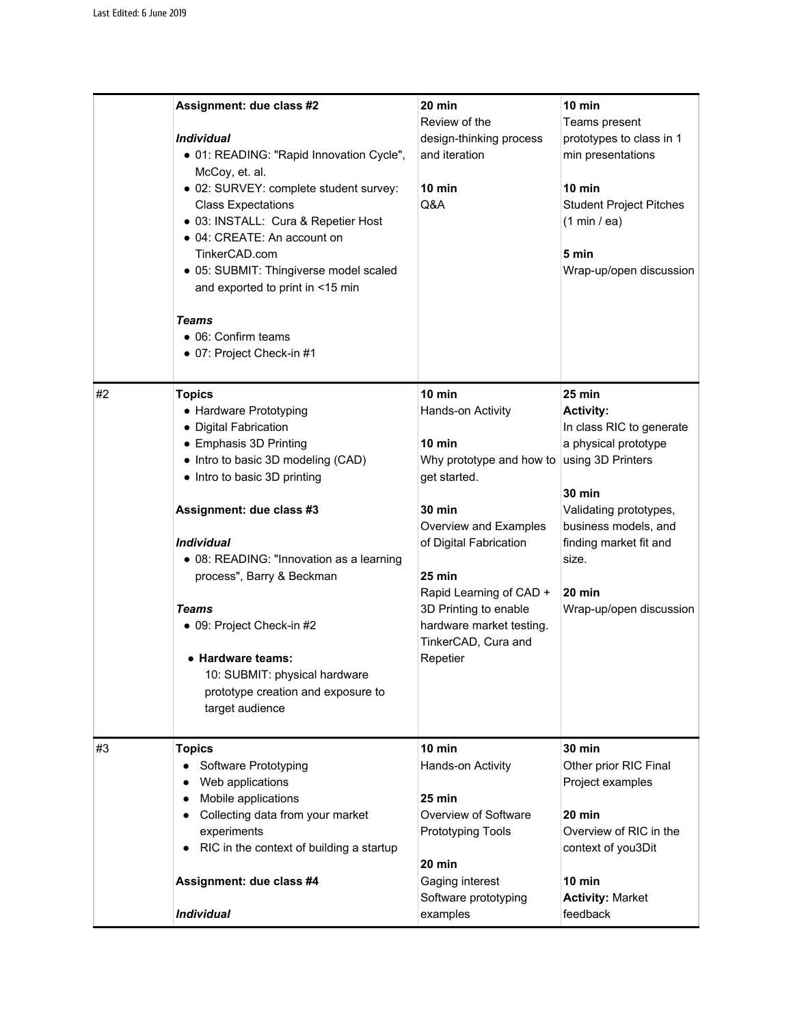|    | Assignment: due class #2<br><i>Individual</i><br>· 01: READING: "Rapid Innovation Cycle",<br>McCoy, et. al.<br>· 02: SURVEY: complete student survey:<br><b>Class Expectations</b><br>• 03: INSTALL: Cura & Repetier Host<br>• 04: CREATE: An account on<br>TinkerCAD.com<br>· 05: SUBMIT: Thingiverse model scaled<br>and exported to print in <15 min<br>Teams<br>$\bullet$ 06: Confirm teams<br>• 07: Project Check-in #1                    | 20 min<br>Review of the<br>design-thinking process<br>and iteration<br>$10$ min<br>Q&A                                                                                                                                                                                               | $10 \text{ min}$<br>Teams present<br>prototypes to class in 1<br>min presentations<br>$10 \text{ min}$<br><b>Student Project Pitches</b><br>(1 min / ea)<br>5 min<br>Wrap-up/open discussion                                                             |
|----|-------------------------------------------------------------------------------------------------------------------------------------------------------------------------------------------------------------------------------------------------------------------------------------------------------------------------------------------------------------------------------------------------------------------------------------------------|--------------------------------------------------------------------------------------------------------------------------------------------------------------------------------------------------------------------------------------------------------------------------------------|----------------------------------------------------------------------------------------------------------------------------------------------------------------------------------------------------------------------------------------------------------|
| #2 | <b>Topics</b><br>• Hardware Prototyping<br>• Digital Fabrication<br>• Emphasis 3D Printing<br>• Intro to basic 3D modeling (CAD)<br>• Intro to basic 3D printing<br>Assignment: due class #3<br><b>Individual</b><br>• 08: READING: "Innovation as a learning<br>process", Barry & Beckman<br>Teams<br>• 09: Project Check-in #2<br>• Hardware teams:<br>10: SUBMIT: physical hardware<br>prototype creation and exposure to<br>target audience | $10$ min<br>Hands-on Activity<br>10 min<br>Why prototype and how to<br>get started.<br><b>30 min</b><br>Overview and Examples<br>of Digital Fabrication<br>25 min<br>Rapid Learning of CAD +<br>3D Printing to enable<br>hardware market testing.<br>TinkerCAD, Cura and<br>Repetier | 25 min<br><b>Activity:</b><br>In class RIC to generate<br>a physical prototype<br>using 3D Printers<br><b>30 min</b><br>Validating prototypes,<br>business models, and<br>finding market fit and<br>size.<br>$20 \text{ min}$<br>Wrap-up/open discussion |
| #3 | <b>Topics</b><br>Software Prototyping<br>Web applications<br>Mobile applications<br>٠<br>Collecting data from your market<br>٠<br>experiments<br>RIC in the context of building a startup<br>Assignment: due class #4<br><b>Individual</b>                                                                                                                                                                                                      | $10$ min<br>Hands-on Activity<br>25 min<br>Overview of Software<br>Prototyping Tools<br>20 min<br>Gaging interest<br>Software prototyping<br>examples                                                                                                                                | <b>30 min</b><br>Other prior RIC Final<br>Project examples<br>20 min<br>Overview of RIC in the<br>context of you3Dit<br>$10$ min<br><b>Activity: Market</b><br>feedback                                                                                  |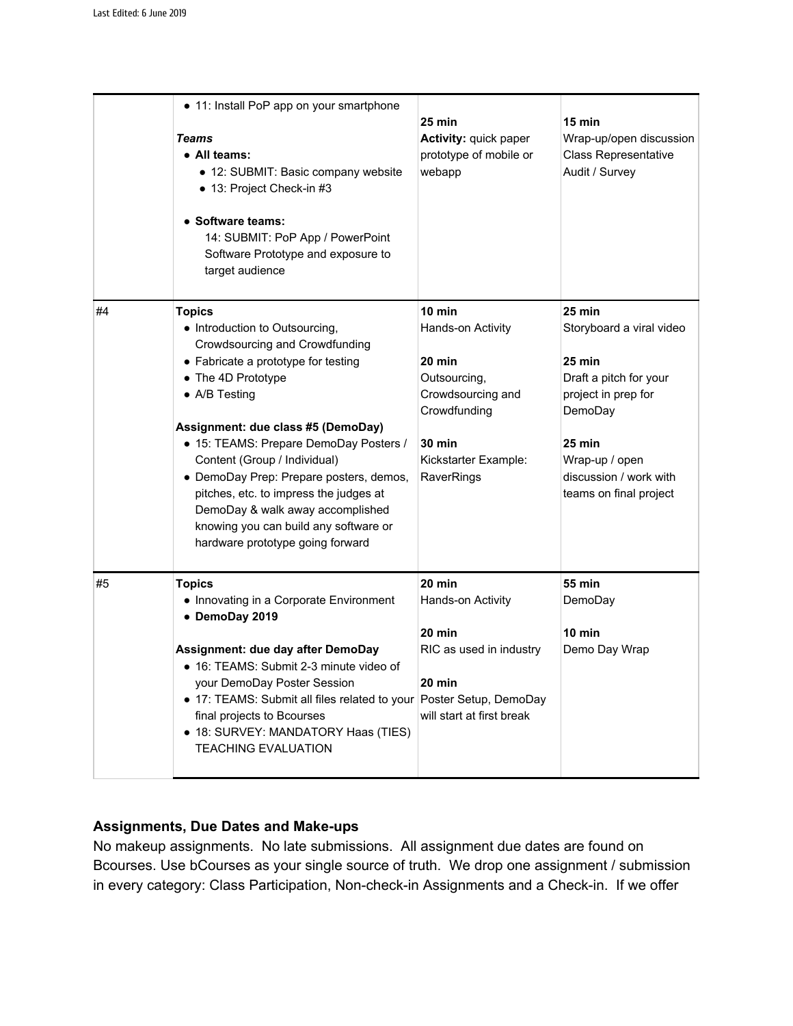|    | • 11: Install PoP app on your smartphone<br>Teams<br>• All teams:<br>• 12: SUBMIT: Basic company website<br>• 13: Project Check-in #3<br>• Software teams:<br>14: SUBMIT: PoP App / PowerPoint<br>Software Prototype and exposure to<br>target audience                                                                                                                                                                                                                               | 25 min<br>Activity: quick paper<br>prototype of mobile or<br>webapp                                                                            | $15 \text{ min}$<br>Wrap-up/open discussion<br><b>Class Representative</b><br>Audit / Survey                                                                                               |
|----|---------------------------------------------------------------------------------------------------------------------------------------------------------------------------------------------------------------------------------------------------------------------------------------------------------------------------------------------------------------------------------------------------------------------------------------------------------------------------------------|------------------------------------------------------------------------------------------------------------------------------------------------|--------------------------------------------------------------------------------------------------------------------------------------------------------------------------------------------|
| #4 | <b>Topics</b><br>• Introduction to Outsourcing,<br>Crowdsourcing and Crowdfunding<br>• Fabricate a prototype for testing<br>• The 4D Prototype<br>• A/B Testing<br>Assignment: due class #5 (DemoDay)<br>• 15: TEAMS: Prepare DemoDay Posters /<br>Content (Group / Individual)<br>· DemoDay Prep: Prepare posters, demos,<br>pitches, etc. to impress the judges at<br>DemoDay & walk away accomplished<br>knowing you can build any software or<br>hardware prototype going forward | $10$ min<br>Hands-on Activity<br>$20$ min<br>Outsourcing,<br>Crowdsourcing and<br>Crowdfunding<br>30 min<br>Kickstarter Example:<br>RaverRings | $25$ min<br>Storyboard a viral video<br>25 min<br>Draft a pitch for your<br>project in prep for<br>DemoDay<br>25 min<br>Wrap-up / open<br>discussion / work with<br>teams on final project |
| #5 | <b>Topics</b><br>• Innovating in a Corporate Environment<br>• DemoDay 2019<br>Assignment: due day after DemoDay<br>• 16: TEAMS: Submit 2-3 minute video of<br>your DemoDay Poster Session<br>• 17: TEAMS: Submit all files related to your Poster Setup, DemoDay<br>final projects to Bcourses<br>• 18: SURVEY: MANDATORY Haas (TIES)<br><b>TEACHING EVALUATION</b>                                                                                                                   | 20 min<br>Hands-on Activity<br>20 min<br>RIC as used in industry<br>20 min<br>will start at first break                                        | <b>55 min</b><br>DemoDay<br>$10$ min<br>Demo Day Wrap                                                                                                                                      |

# **Assignments, Due Dates and Make-ups**

No makeup assignments. No late submissions. All assignment due dates are found on Bcourses. Use bCourses as your single source of truth. We drop one assignment / submission in every category: Class Participation, Non-check-in Assignments and a Check-in. If we offer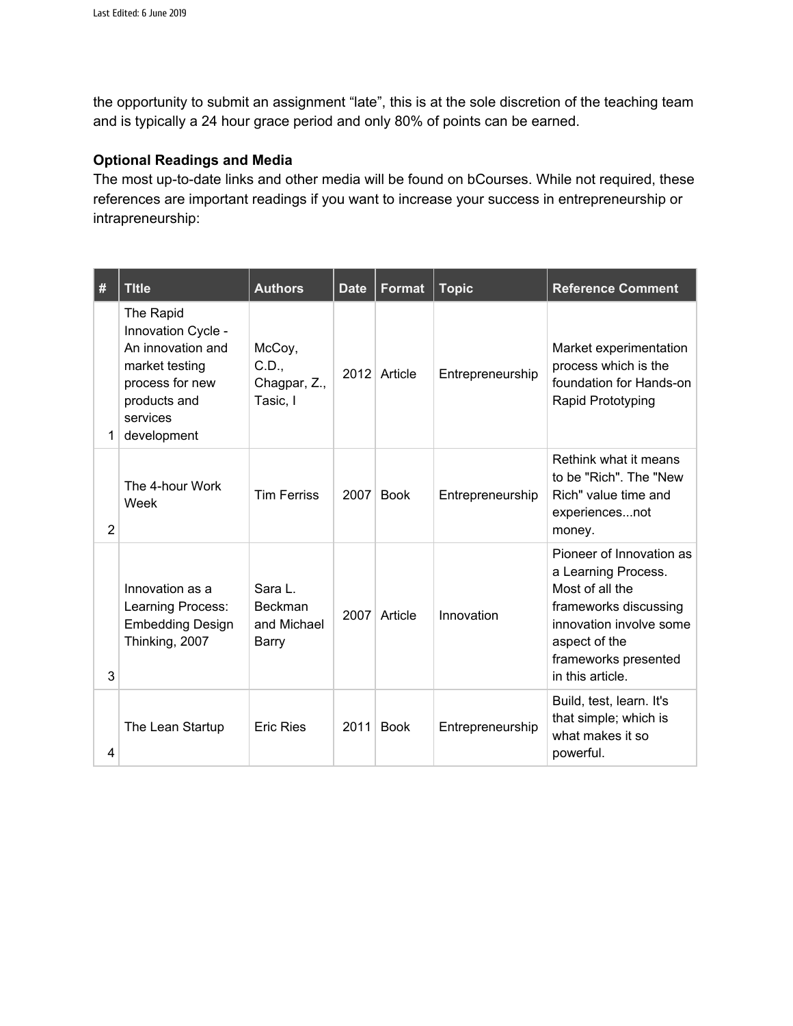the opportunity to submit an assignment "late", this is at the sole discretion of the teaching team and is typically a 24 hour grace period and only 80% of points can be earned.

#### **Optional Readings and Media**

The most up-to-date links and other media will be found on bCourses. While not required, these references are important readings if you want to increase your success in entrepreneurship or intrapreneurship:

| #              | <b>Title</b>                                                                                                                         | <b>Authors</b>                                    | <b>Date</b> | <b>Format</b> | <b>Topic</b>     | <b>Reference Comment</b>                                                                                                                                                            |
|----------------|--------------------------------------------------------------------------------------------------------------------------------------|---------------------------------------------------|-------------|---------------|------------------|-------------------------------------------------------------------------------------------------------------------------------------------------------------------------------------|
| 1              | The Rapid<br>Innovation Cycle -<br>An innovation and<br>market testing<br>process for new<br>products and<br>services<br>development | McCoy,<br>C.D.,<br>Chagpar, Z.,<br>Tasic, I       | 2012        | Article       | Entrepreneurship | Market experimentation<br>process which is the<br>foundation for Hands-on<br>Rapid Prototyping                                                                                      |
| $\overline{2}$ | The 4-hour Work<br>Week                                                                                                              | <b>Tim Ferriss</b>                                | 2007        | <b>Book</b>   | Entrepreneurship | Rethink what it means<br>to be "Rich". The "New<br>Rich" value time and<br>experiencesnot<br>money.                                                                                 |
| 3              | Innovation as a<br>Learning Process:<br><b>Embedding Design</b><br>Thinking, 2007                                                    | Sara L.<br><b>Beckman</b><br>and Michael<br>Barry | 2007        | Article       | Innovation       | Pioneer of Innovation as<br>a Learning Process.<br>Most of all the<br>frameworks discussing<br>innovation involve some<br>aspect of the<br>frameworks presented<br>in this article. |
| 4              | The Lean Startup                                                                                                                     | <b>Eric Ries</b>                                  | 2011        | <b>Book</b>   | Entrepreneurship | Build, test, learn. It's<br>that simple; which is<br>what makes it so<br>powerful.                                                                                                  |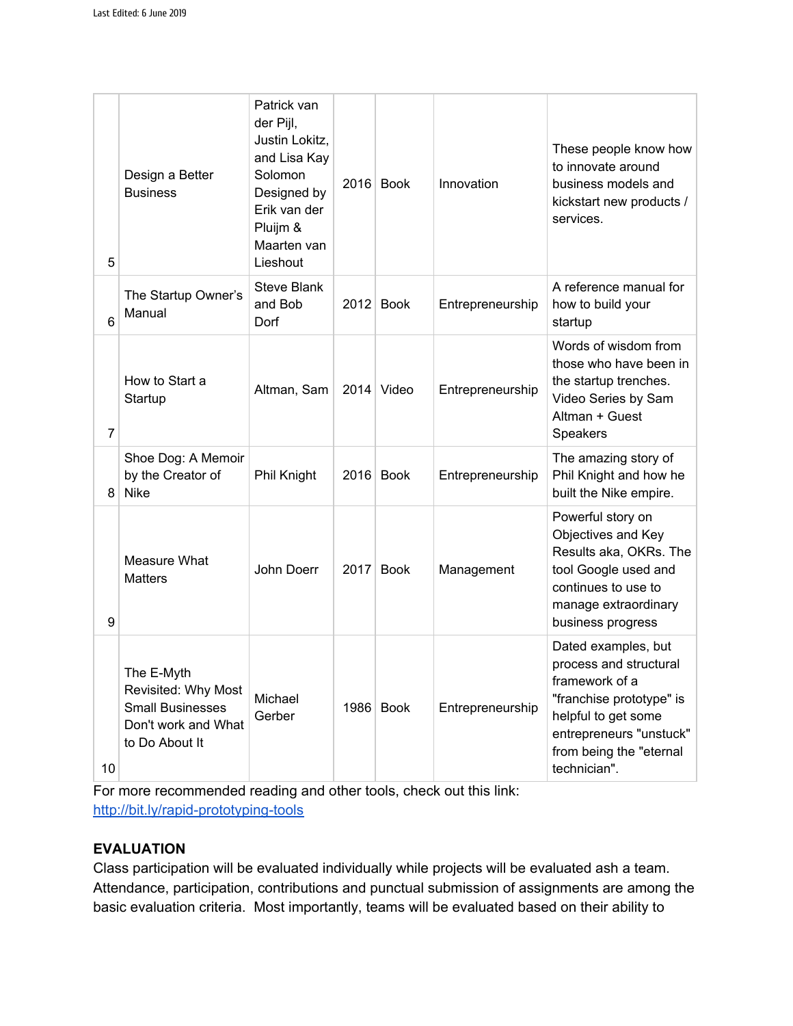| 5              | Design a Better<br><b>Business</b>                                                                    | Patrick van<br>der Pijl,<br>Justin Lokitz,<br>and Lisa Kay<br>Solomon<br>Designed by<br>Erik van der<br>Pluijm &<br>Maarten van<br>Lieshout |      | $2016$ Book  | Innovation       | These people know how<br>to innovate around<br>business models and<br>kickstart new products /<br>services.                                                                              |
|----------------|-------------------------------------------------------------------------------------------------------|---------------------------------------------------------------------------------------------------------------------------------------------|------|--------------|------------------|------------------------------------------------------------------------------------------------------------------------------------------------------------------------------------------|
| 6              | The Startup Owner's<br>Manual                                                                         | <b>Steve Blank</b><br>and Bob<br>Dorf                                                                                                       | 2012 | <b>Book</b>  | Entrepreneurship | A reference manual for<br>how to build your<br>startup                                                                                                                                   |
| $\overline{7}$ | How to Start a<br>Startup                                                                             | Altman, Sam                                                                                                                                 |      | $2014$ Video | Entrepreneurship | Words of wisdom from<br>those who have been in<br>the startup trenches.<br>Video Series by Sam<br>Altman + Guest<br>Speakers                                                             |
| 8              | Shoe Dog: A Memoir<br>by the Creator of<br><b>Nike</b>                                                | Phil Knight                                                                                                                                 |      | 2016 Book    | Entrepreneurship | The amazing story of<br>Phil Knight and how he<br>built the Nike empire.                                                                                                                 |
| 9              | Measure What<br><b>Matters</b>                                                                        | John Doerr                                                                                                                                  | 2017 | <b>Book</b>  | Management       | Powerful story on<br>Objectives and Key<br>Results aka, OKRs. The<br>tool Google used and<br>continues to use to<br>manage extraordinary<br>business progress                            |
| 10             | The E-Myth<br>Revisited: Why Most<br><b>Small Businesses</b><br>Don't work and What<br>to Do About It | Michael<br>Gerber                                                                                                                           |      | 1986 Book    | Entrepreneurship | Dated examples, but<br>process and structural<br>framework of a<br>"franchise prototype" is<br>helpful to get some<br>entrepreneurs "unstuck"<br>from being the "eternal<br>technician". |

For more recommended reading and other tools, check out this link: <http://bit.ly/rapid-prototyping-tools>

## **EVALUATION**

Class participation will be evaluated individually while projects will be evaluated ash a team. Attendance, participation, contributions and punctual submission of assignments are among the basic evaluation criteria. Most importantly, teams will be evaluated based on their ability to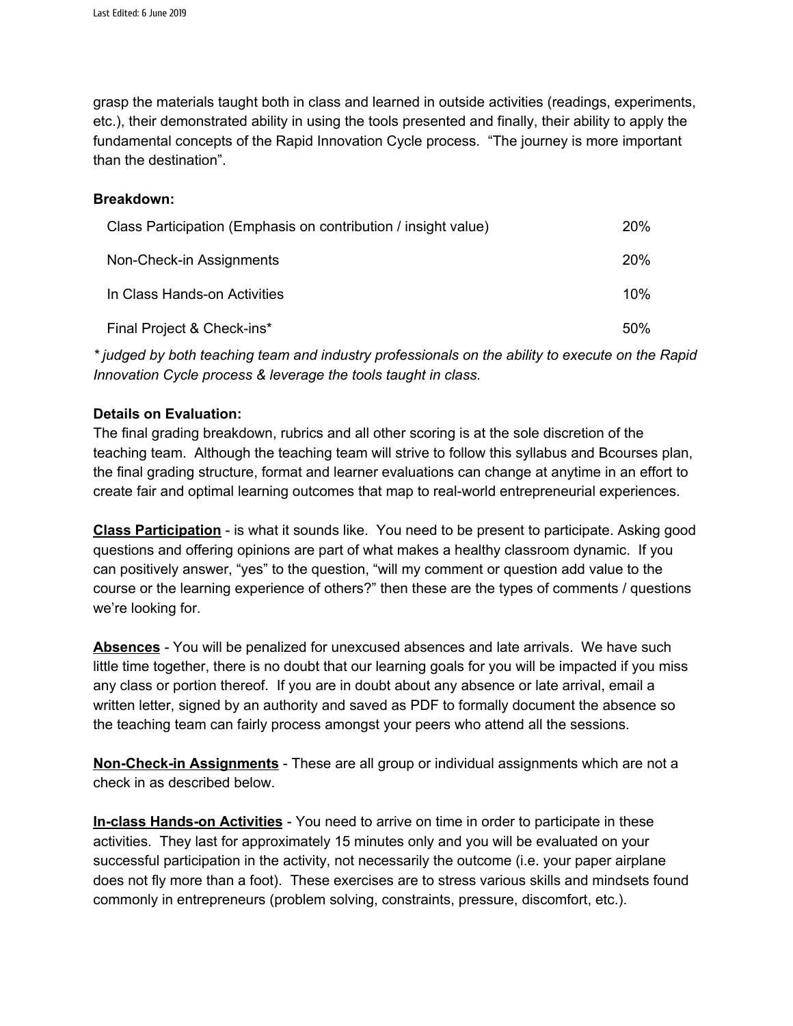grasp the materials taught both in class and learned in outside activities (readings, experiments, etc.), their demonstrated ability in using the tools presented and finally, their ability to apply the fundamental concepts of the Rapid Innovation Cycle process. "The journey is more important than the destination".

#### **Breakdown:**

| Class Participation (Emphasis on contribution / insight value) | <b>20%</b> |
|----------------------------------------------------------------|------------|
| Non-Check-in Assignments                                       | 20%        |
| In Class Hands-on Activities                                   | 10%        |
| Final Project & Check-ins*                                     | 50%        |

*\* judged by both teaching team and industry professionals on the ability to execute on the Rapid Innovation Cycle process & leverage the tools taught in class.*

## **Details on Evaluation:**

The final grading breakdown, rubrics and all other scoring is at the sole discretion of the teaching team. Although the teaching team will strive to follow this syllabus and Bcourses plan, the final grading structure, format and learner evaluations can change at anytime in an effort to create fair and optimal learning outcomes that map to real-world entrepreneurial experiences.

**Class Participation** - is what it sounds like. You need to be present to participate. Asking good questions and offering opinions are part of what makes a healthy classroom dynamic. If you can positively answer, "yes" to the question, "will my comment or question add value to the course or the learning experience of others?" then these are the types of comments / questions we're looking for.

**Absences** - You will be penalized for unexcused absences and late arrivals. We have such little time together, there is no doubt that our learning goals for you will be impacted if you miss any class or portion thereof. If you are in doubt about any absence or late arrival, email a written letter, signed by an authority and saved as PDF to formally document the absence so the teaching team can fairly process amongst your peers who attend all the sessions.

**Non-Check-in Assignments** - These are all group or individual assignments which are not a check in as described below.

**In-class Hands-on Activities** - You need to arrive on time in order to participate in these activities. They last for approximately 15 minutes only and you will be evaluated on your successful participation in the activity, not necessarily the outcome (i.e. your paper airplane does not fly more than a foot). These exercises are to stress various skills and mindsets found commonly in entrepreneurs (problem solving, constraints, pressure, discomfort, etc.).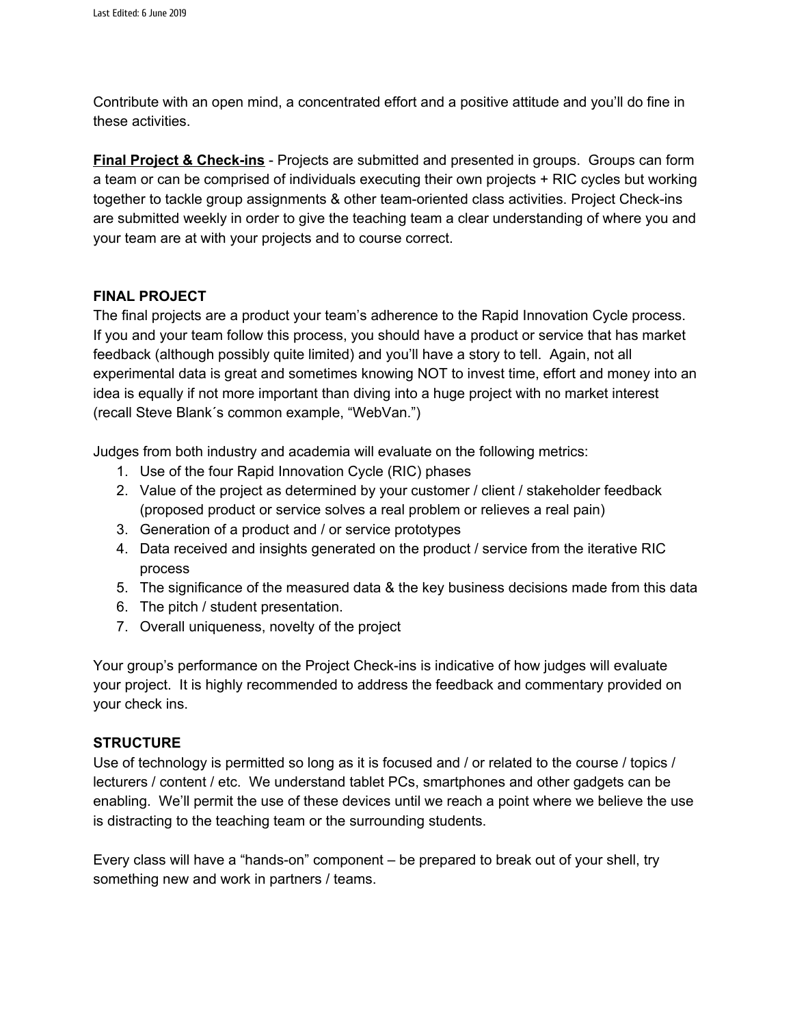Contribute with an open mind, a concentrated effort and a positive attitude and you'll do fine in these activities.

**Final Project & Check-ins** - Projects are submitted and presented in groups. Groups can form a team or can be comprised of individuals executing their own projects + RIC cycles but working together to tackle group assignments & other team-oriented class activities. Project Check-ins are submitted weekly in order to give the teaching team a clear understanding of where you and your team are at with your projects and to course correct.

#### **FINAL PROJECT**

The final projects are a product your team's adherence to the Rapid Innovation Cycle process. If you and your team follow this process, you should have a product or service that has market feedback (although possibly quite limited) and you'll have a story to tell. Again, not all experimental data is great and sometimes knowing NOT to invest time, effort and money into an idea is equally if not more important than diving into a huge project with no market interest (recall Steve Blank´s common example, "WebVan.")

Judges from both industry and academia will evaluate on the following metrics:

- 1. Use of the four Rapid Innovation Cycle (RIC) phases
- 2. Value of the project as determined by your customer / client / stakeholder feedback (proposed product or service solves a real problem or relieves a real pain)
- 3. Generation of a product and / or service prototypes
- 4. Data received and insights generated on the product / service from the iterative RIC process
- 5. The significance of the measured data & the key business decisions made from this data
- 6. The pitch / student presentation.
- 7. Overall uniqueness, novelty of the project

Your group's performance on the Project Check-ins is indicative of how judges will evaluate your project. It is highly recommended to address the feedback and commentary provided on your check ins.

#### **STRUCTURE**

Use of technology is permitted so long as it is focused and / or related to the course / topics / lecturers / content / etc. We understand tablet PCs, smartphones and other gadgets can be enabling. We'll permit the use of these devices until we reach a point where we believe the use is distracting to the teaching team or the surrounding students.

Every class will have a "hands-on" component – be prepared to break out of your shell, try something new and work in partners / teams.